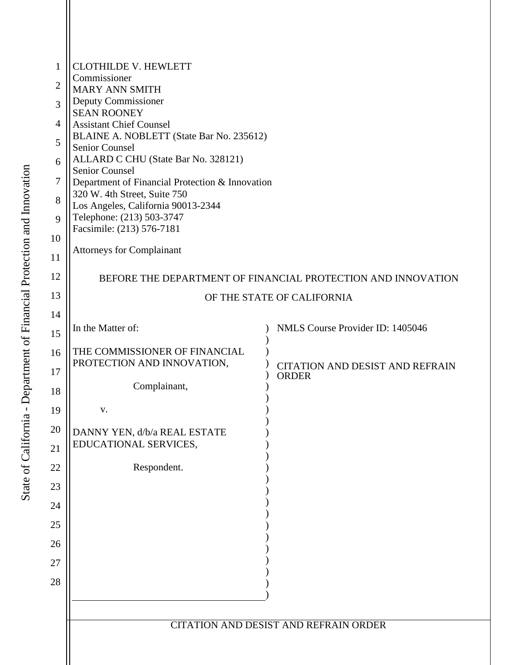| $\mathbf{1}$   | <b>CLOTHILDE V. HEWLETT</b>                                                                  |                                                        |  |
|----------------|----------------------------------------------------------------------------------------------|--------------------------------------------------------|--|
| $\overline{2}$ | Commissioner<br><b>MARY ANN SMITH</b>                                                        |                                                        |  |
| 3              | Deputy Commissioner                                                                          |                                                        |  |
| 4              | <b>SEAN ROONEY</b><br><b>Assistant Chief Counsel</b>                                         |                                                        |  |
| 5              | BLAINE A. NOBLETT (State Bar No. 235612)                                                     |                                                        |  |
| 6              | Senior Counsel<br>ALLARD C CHU (State Bar No. 328121)                                        |                                                        |  |
| 7              | <b>Senior Counsel</b><br>Department of Financial Protection & Innovation                     |                                                        |  |
| 8              | 320 W. 4th Street, Suite 750                                                                 |                                                        |  |
| 9              | Los Angeles, California 90013-2344<br>Telephone: (213) 503-3747<br>Facsimile: (213) 576-7181 |                                                        |  |
| 10             |                                                                                              |                                                        |  |
| 11             | <b>Attorneys for Complainant</b>                                                             |                                                        |  |
| 12             | BEFORE THE DEPARTMENT OF FINANCIAL PROTECTION AND INNOVATION                                 |                                                        |  |
| 13             | OF THE STATE OF CALIFORNIA                                                                   |                                                        |  |
| 14             |                                                                                              |                                                        |  |
| 15             | In the Matter of:                                                                            | NMLS Course Provider ID: 1405046                       |  |
| 16             | THE COMMISSIONER OF FINANCIAL                                                                |                                                        |  |
| 17             | PROTECTION AND INNOVATION,                                                                   | <b>CITATION AND DESIST AND REFRAIN</b><br><b>ORDER</b> |  |
| 18             | Complainant,                                                                                 |                                                        |  |
| 19             | V.                                                                                           |                                                        |  |
| 20             | DANNY YEN, d/b/a REAL ESTATE                                                                 |                                                        |  |
| 21             | EDUCATIONAL SERVICES,                                                                        |                                                        |  |
| 22             | Respondent.                                                                                  |                                                        |  |
| 23             |                                                                                              |                                                        |  |
| 24             |                                                                                              |                                                        |  |
| 25             |                                                                                              |                                                        |  |
| 26             |                                                                                              |                                                        |  |
| 27             |                                                                                              |                                                        |  |
| 28             |                                                                                              |                                                        |  |
|                |                                                                                              |                                                        |  |
|                | <b>CITATION AND DESIST AND REFRAIN ORDER</b>                                                 |                                                        |  |
|                |                                                                                              |                                                        |  |
|                |                                                                                              |                                                        |  |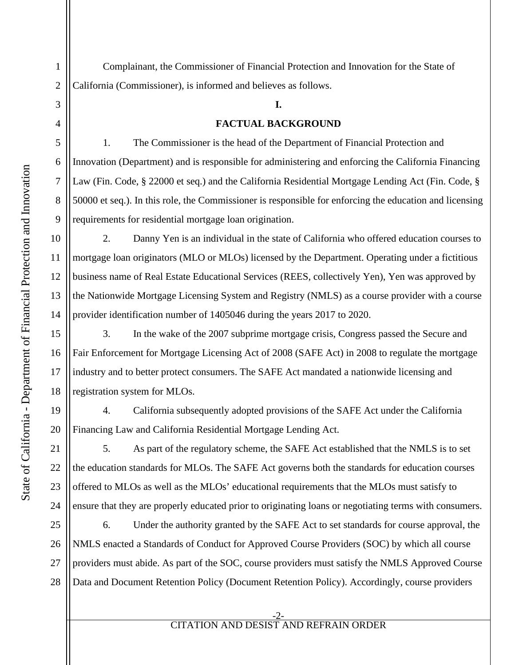1

2

3

4

5

6

7

8

9

10

11

12

13

14

15

16

17

18

19

20

21

22

23

24

 Complainant, the Commissioner of Financial Protection and Innovation for the State of California (Commissioner), is informed and believes as follows.

#### **I.**

#### **FACTUAL BACKGROUND**

1. The Commissioner is the head of the Department of Financial Protection and Innovation (Department) and is responsible for administering and enforcing the California Financing Law (Fin. Code, § 22000 et seq.) and the California Residential Mortgage Lending Act (Fin. Code, § 50000 et seq.). In this role, the Commissioner is responsible for enforcing the education and licensing requirements for residential mortgage loan origination.

2. Danny Yen is an individual in the state of California who offered education courses to mortgage loan originators (MLO or MLOs) licensed by the Department. Operating under a fictitious business name of Real Estate Educational Services (REES, collectively Yen), Yen was approved by the Nationwide Mortgage Licensing System and Registry (NMLS) as a course provider with a course provider identification number of 1405046 during the years 2017 to 2020.

3. In the wake of the 2007 subprime mortgage crisis, Congress passed the Secure and Fair Enforcement for Mortgage Licensing Act of 2008 (SAFE Act) in 2008 to regulate the mortgage industry and to better protect consumers. The SAFE Act mandated a nationwide licensing and registration system for MLOs.

4. California subsequently adopted provisions of the SAFE Act under the California Financing Law and California Residential Mortgage Lending Act.

5. As part of the regulatory scheme, the SAFE Act established that the NMLS is to set the education standards for MLOs. The SAFE Act governs both the standards for education courses offered to MLOs as well as the MLOs' educational requirements that the MLOs must satisfy to ensure that they are properly educated prior to originating loans or negotiating terms with consumers.

25 26 27 28 6. Under the authority granted by the SAFE Act to set standards for course approval, the NMLS enacted a Standards of Conduct for Approved Course Providers (SOC) by which all course providers must abide. As part of the SOC, course providers must satisfy the NMLS Approved Course Data and Document Retention Policy (Document Retention Policy). Accordingly, course providers

#### -2- CITATION AND DESIST AND REFRAIN ORDER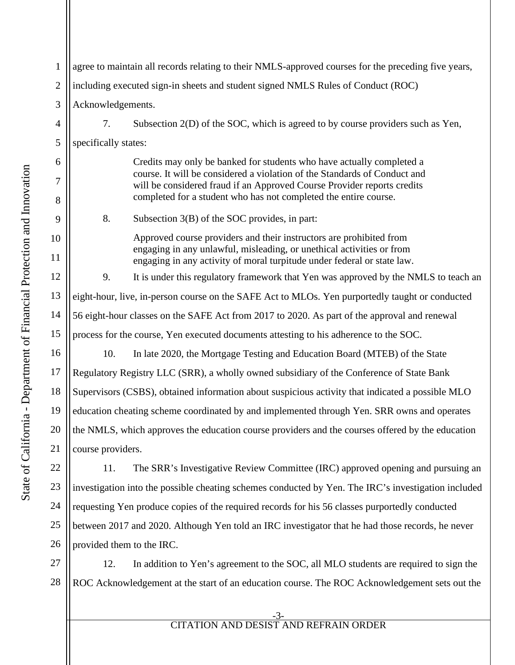1 2 3 4 5 6 7 8 9 10 11 12 13 14 15 16 17 18 19 20 21 22 agree to maintain all records relating to their NMLS-approved courses for the preceding five years, including executed sign-in sheets and student signed NMLS Rules of Conduct (ROC) Acknowledgements. 7. Subsection 2(D) of the SOC, which is agreed to by course providers such as Yen, specifically states: Credits may only be banked for students who have actually completed a course. It will be considered a violation of the Standards of Conduct and will be considered fraud if an Approved Course Provider reports credits completed for a student who has not completed the entire course. 8. Subsection 3(B) of the SOC provides, in part: Approved course providers and their instructors are prohibited from engaging in any unlawful, misleading, or unethical activities or from engaging in any activity of moral turpitude under federal or state law. 9. It is under this regulatory framework that Yen was approved by the NMLS to teach an eight-hour, live, in-person course on the SAFE Act to MLOs. Yen purportedly taught or conducted 56 eight-hour classes on the SAFE Act from 2017 to 2020. As part of the approval and renewal process for the course, Yen executed documents attesting to his adherence to the SOC. 10. In late 2020, the Mortgage Testing and Education Board (MTEB) of the State Regulatory Registry LLC (SRR), a wholly owned subsidiary of the Conference of State Bank Supervisors (CSBS), obtained information about suspicious activity that indicated a possible MLO education cheating scheme coordinated by and implemented through Yen. SRR owns and operates the NMLS, which approves the education course providers and the courses offered by the education course providers.

23 24 25 26 11. The SRR's Investigative Review Committee (IRC) approved opening and pursuing an investigation into the possible cheating schemes conducted by Yen. The IRC's investigation included requesting Yen produce copies of the required records for his 56 classes purportedly conducted between 2017 and 2020. Although Yen told an IRC investigator that he had those records, he never provided them to the IRC.

27 28 12. In addition to Yen's agreement to the SOC, all MLO students are required to sign the ROC Acknowledgement at the start of an education course. The ROC Acknowledgement sets out the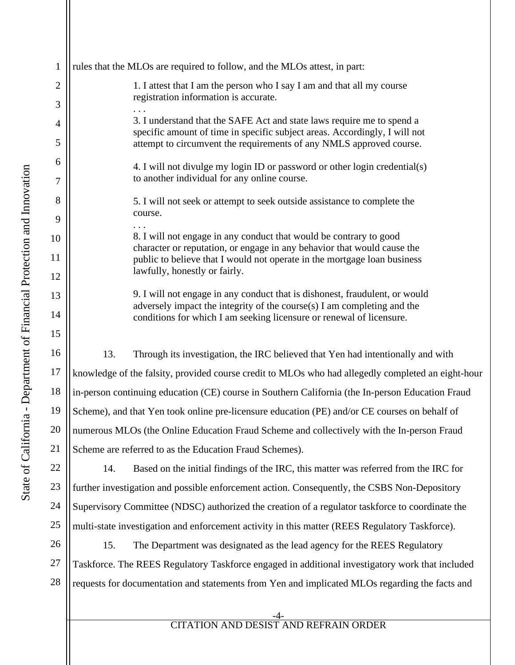| rules that the MLOs are required to follow, and the MLOs attest, in part:                                                |
|--------------------------------------------------------------------------------------------------------------------------|
| 1. I attest that I am the person who I say I am and that all                                                             |
| registration information is accurate.                                                                                    |
| 3. I understand that the SAFE Act and state laws require r                                                               |
| specific amount of time in specific subject areas. According<br>attempt to circumvent the requirements of any NMLS app   |
| 4. I will not divulge my login ID or password or other log                                                               |
| to another individual for any online course.                                                                             |
| 5. I will not seek or attempt to seek outside assistance to c                                                            |
| course.                                                                                                                  |
| 8. I will not engage in any conduct that would be contrary                                                               |
| character or reputation, or engage in any behavior that wo<br>public to believe that I would not operate in the mortgage |
| lawfully, honestly or fairly.                                                                                            |
| 9. I will not engage in any conduct that is dishonest, fraud                                                             |
| adversely impact the integrity of the course(s) I am compl<br>conditions for which I am seeking licensure or renewal of  |
|                                                                                                                          |
| 13.<br>Through its investigation, the IRC believed that Yen had in                                                       |
| knowledge of the falsity, provided course credit to MLOs who had allege                                                  |
| in-person continuing education (CE) course in Southern California (the I                                                 |
| Scheme), and that Yen took online pre-licensure education (PE) and/or C                                                  |
| numerous MLOs (the Online Education Fraud Scheme and collectively v                                                      |
| Scheme are referred to as the Education Fraud Schemes).                                                                  |
| 14.<br>Based on the initial findings of the IRC, this matter was re-                                                     |
| further investigation and possible enforcement action. Consequently, the                                                 |
| Supervisory Committee (NDSC) authorized the creation of a regulator ta                                                   |
|                                                                                                                          |

25

5. I will not seek or attempt to seek outside assistance to complete the course. . . . 8. I will not engage in any conduct that would be contrary to good character or reputation, or engage in any behavior that would cause the public to believe that I would not operate in the mortgage loan business lawfully, honestly or fairly. 9. I will not engage in any conduct that is dishonest, fraudulent, or would adversely impact the integrity of the course(s) I am completing and the conditions for which I am seeking licensure or renewal of licensure. 13. Through its investigation, the IRC believed that Yen had intentionally and with of the falsity, provided course credit to MLOs who had allegedly completed an eight-hour intinuing education (CE) course in Southern California (the In-person Education Fraud d that Yen took online pre-licensure education (PE) and/or CE courses on behalf of ILOs (the Online Education Fraud Scheme and collectively with the In-person Fraud referred to as the Education Fraud Schemes). Based on the initial findings of the IRC, this matter was referred from the IRC for stigation and possible enforcement action. Consequently, the CSBS Non-Depository

1. I attest that I am the person who I say I am and that all my course

3. I understand that the SAFE Act and state laws require me to spend a specific amount of time in specific subject areas. Accordingly, I will not attempt to circumvent the requirements of any NMLS approved course.

4. I will not divulge my login ID or password or other login credential(s)

Committee (NDSC) authorized the creation of a regulator taskforce to coordinate the multi-state investigation and enforcement activity in this matter (REES Regulatory Taskforce).

26 27 28 15. The Department was designated as the lead agency for the REES Regulatory Taskforce. The REES Regulatory Taskforce engaged in additional investigatory work that included requests for documentation and statements from Yen and implicated MLOs regarding the facts and

### -4- CITATION AND DESIST AND REFRAIN ORDER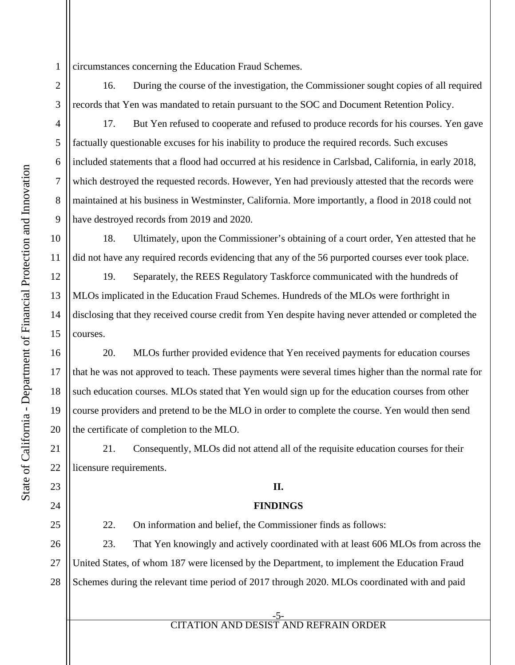1 circumstances concerning the Education Fraud Schemes.

16. During the course of the investigation, the Commissioner sought copies of all required records that Yen was mandated to retain pursuant to the SOC and Document Retention Policy.

3

2

4

5

6

7

8

9

10

11

12

13

14

15

16

17

18

19

20

21

22

23

24

25

17. But Yen refused to cooperate and refused to produce records for his courses. Yen gave factually questionable excuses for his inability to produce the required records. Such excuses included statements that a flood had occurred at his residence in Carlsbad, California, in early 2018, which destroyed the requested records. However, Yen had previously attested that the records were maintained at his business in Westminster, California. More importantly, a flood in 2018 could not have destroyed records from 2019 and 2020.

18. Ultimately, upon the Commissioner's obtaining of a court order, Yen attested that he did not have any required records evidencing that any of the 56 purported courses ever took place.

19. Separately, the REES Regulatory Taskforce communicated with the hundreds of MLOs implicated in the Education Fraud Schemes. Hundreds of the MLOs were forthright in disclosing that they received course credit from Yen despite having never attended or completed the courses.

20. MLOs further provided evidence that Yen received payments for education courses that he was not approved to teach. These payments were several times higher than the normal rate for such education courses. MLOs stated that Yen would sign up for the education courses from other course providers and pretend to be the MLO in order to complete the course. Yen would then send the certificate of completion to the MLO.

21. Consequently, MLOs did not attend all of the requisite education courses for their licensure requirements.

## **II.**

## **FINDINGS**

22. On information and belief, the Commissioner finds as follows:

26 27 28 23. That Yen knowingly and actively coordinated with at least 606 MLOs from across the United States, of whom 187 were licensed by the Department, to implement the Education Fraud Schemes during the relevant time period of 2017 through 2020. MLOs coordinated with and paid

-5- CITATION AND DESIST AND REFRAIN ORDER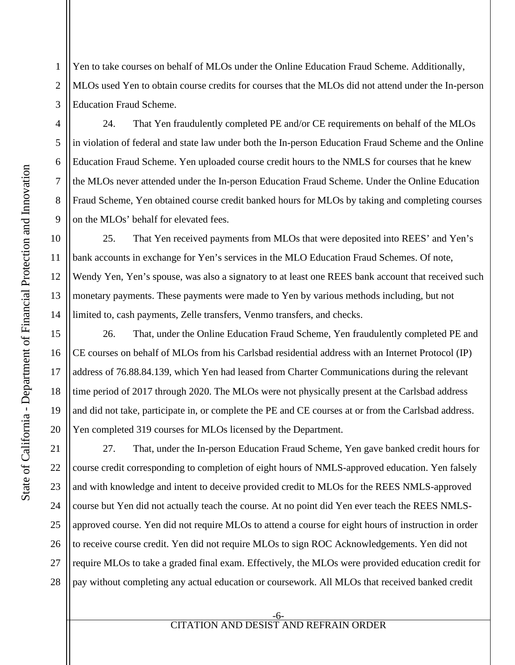1 2 3 Yen to take courses on behalf of MLOs under the Online Education Fraud Scheme. Additionally, MLOs used Yen to obtain course credits for courses that the MLOs did not attend under the In-person Education Fraud Scheme.

24. That Yen fraudulently completed PE and/or CE requirements on behalf of the MLOs in violation of federal and state law under both the In-person Education Fraud Scheme and the Online Education Fraud Scheme. Yen uploaded course credit hours to the NMLS for courses that he knew the MLOs never attended under the In-person Education Fraud Scheme. Under the Online Education Fraud Scheme, Yen obtained course credit banked hours for MLOs by taking and completing courses on the MLOs' behalf for elevated fees.

25. That Yen received payments from MLOs that were deposited into REES' and Yen's bank accounts in exchange for Yen's services in the MLO Education Fraud Schemes. Of note, Wendy Yen, Yen's spouse, was also a signatory to at least one REES bank account that received such monetary payments. These payments were made to Yen by various methods including, but not limited to, cash payments, Zelle transfers, Venmo transfers, and checks.

26. That, under the Online Education Fraud Scheme, Yen fraudulently completed PE and CE courses on behalf of MLOs from his Carlsbad residential address with an Internet Protocol (IP) address of 76.88.84.139, which Yen had leased from Charter Communications during the relevant time period of 2017 through 2020. The MLOs were not physically present at the Carlsbad address and did not take, participate in, or complete the PE and CE courses at or from the Carlsbad address. Yen completed 319 courses for MLOs licensed by the Department.

21 22 23 24 25 26 27 28 27. That, under the In-person Education Fraud Scheme, Yen gave banked credit hours for course credit corresponding to completion of eight hours of NMLS-approved education. Yen falsely and with knowledge and intent to deceive provided credit to MLOs for the REES NMLS-approved course but Yen did not actually teach the course. At no point did Yen ever teach the REES NMLSapproved course. Yen did not require MLOs to attend a course for eight hours of instruction in order to receive course credit. Yen did not require MLOs to sign ROC Acknowledgements. Yen did not require MLOs to take a graded final exam. Effectively, the MLOs were provided education credit for pay without completing any actual education or coursework. All MLOs that received banked credit

#### -6- CITATION AND DESIST AND REFRAIN ORDER

4

5

6

7

8

9

10

11

12

13

14

15

16

17

18

19

20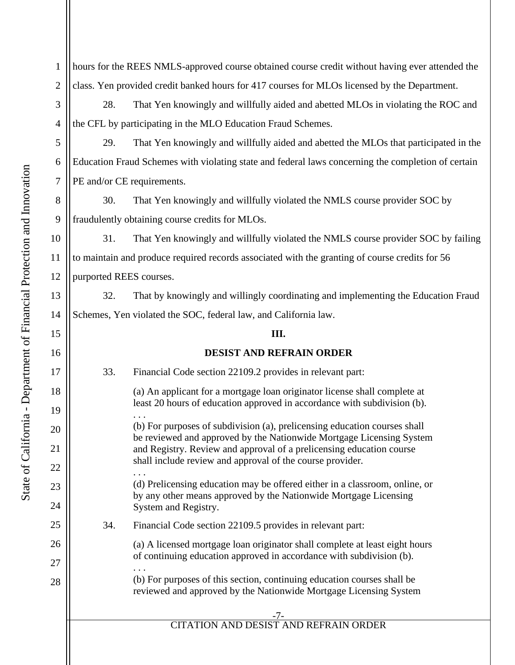1 2 hours for the REES NMLS-approved course obtained course credit without having ever attended the class. Yen provided credit banked hours for 417 courses for MLOs licensed by the Department.

28. That Yen knowingly and willfully aided and abetted MLOs in violating the ROC and the CFL by participating in the MLO Education Fraud Schemes.

29. That Yen knowingly and willfully aided and abetted the MLOs that participated in the Education Fraud Schemes with violating state and federal laws concerning the completion of certain PE and/or CE requirements.

30. That Yen knowingly and willfully violated the NMLS course provider SOC by fraudulently obtaining course credits for MLOs.

31. That Yen knowingly and willfully violated the NMLS course provider SOC by failing to maintain and produce required records associated with the granting of course credits for 56 purported REES courses.

32. That by knowingly and willingly coordinating and implementing the Education Fraud Schemes, Yen violated the SOC, federal law, and California law.

### **III.**

## **DESIST AND REFRAIN ORDER**

# 33. Financial Code section 22109.2 provides in relevant part:

(a) An applicant for a mortgage loan originator license shall complete at least 20 hours of education approved in accordance with subdivision (b). . . .

(b) For purposes of subdivision (a), prelicensing education courses shall be reviewed and approved by the Nationwide Mortgage Licensing System and Registry. Review and approval of a prelicensing education course shall include review and approval of the course provider.

. . . (d) Prelicensing education may be offered either in a classroom, online, or by any other means approved by the Nationwide Mortgage Licensing System and Registry.

34. Financial Code section 22109.5 provides in relevant part:

(a) A licensed mortgage loan originator shall complete at least eight hours of continuing education approved in accordance with subdivision (b). . . .

(b) For purposes of this section, continuing education courses shall be reviewed and approved by the Nationwide Mortgage Licensing System

# CITATION AND DESIST AND REFRAIN ORDER

3

4

5

6

7

8

9

10

11

12

13

14

15

16

17

18

19

20

21

22

23

24

25

26

27

28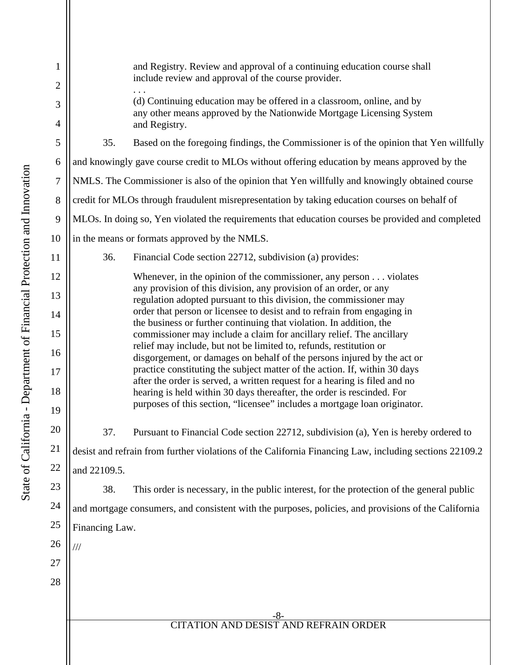-8- CITATION AND DESIST AND REFRAIN ORDER 1 2 3 4 5 6 7 8 9 10 11 12 13 14 15 16 17 18 19 20 21 22 23 24 25 26 27 28 and Registry. Review and approval of a continuing education course shall include review and approval of the course provider. . . . (d) Continuing education may be offered in a classroom, online, and by any other means approved by the Nationwide Mortgage Licensing System and Registry. 35. Based on the foregoing findings, the Commissioner is of the opinion that Yen willfully and knowingly gave course credit to MLOs without offering education by means approved by the NMLS. The Commissioner is also of the opinion that Yen willfully and knowingly obtained course credit for MLOs through fraudulent misrepresentation by taking education courses on behalf of MLOs. In doing so, Yen violated the requirements that education courses be provided and completed in the means or formats approved by the NMLS. 36. Financial Code section 22712, subdivision (a) provides: Whenever, in the opinion of the commissioner, any person . . . violates any provision of this division, any provision of an order, or any regulation adopted pursuant to this division, the commissioner may order that person or licensee to desist and to refrain from engaging in the business or further continuing that violation. In addition, the commissioner may include a claim for ancillary relief. The ancillary relief may include, but not be limited to, refunds, restitution or disgorgement, or damages on behalf of the persons injured by the act or practice constituting the subject matter of the action. If, within 30 days after the order is served, a written request for a hearing is filed and no hearing is held within 30 days thereafter, the order is rescinded. For purposes of this section, "licensee" includes a mortgage loan originator. 37. Pursuant to Financial Code section 22712, subdivision (a), Yen is hereby ordered to desist and refrain from further violations of the California Financing Law, including sections 22109.2 and 22109.5. 38. This order is necessary, in the public interest, for the protection of the general public and mortgage consumers, and consistent with the purposes, policies, and provisions of the California Financing Law. ///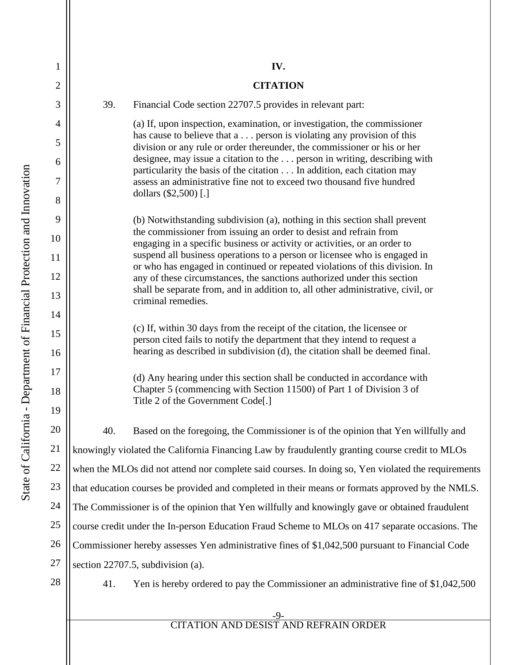1

2

3

4

5

6

7

8

9

10

11

12

13

14

15

16

17

18

19

21

**IV.** 

### **CITATION**

39. Financial Code section 22707.5 provides in relevant part:

(a) If, upon inspection, examination, or investigation, the commissioner has cause to believe that a . . . person is violating any provision of this division or any rule or order thereunder, the commissioner or his or her designee, may issue a citation to the . . . person in writing, describing with particularity the basis of the citation . . . In addition, each citation may assess an administrative fine not to exceed two thousand five hundred dollars (\$2,500) [.]

(b) Notwithstanding subdivision (a), nothing in this section shall prevent the commissioner from issuing an order to desist and refrain from engaging in a specific business or activity or activities, or an order to suspend all business operations to a person or licensee who is engaged in or who has engaged in continued or repeated violations of this division. In any of these circumstances, the sanctions authorized under this section shall be separate from, and in addition to, all other administrative, civil, or criminal remedies.

(c) If, within 30 days from the receipt of the citation, the licensee or person cited fails to notify the department that they intend to request a hearing as described in subdivision (d), the citation shall be deemed final.

(d) Any hearing under this section shall be conducted in accordance with Chapter 5 (commencing with Section 11500) of Part 1 of Division 3 of Title 2 of the Government Code[.]

20 22 23 24 25 26 27 40. Based on the foregoing, the Commissioner is of the opinion that Yen willfully and knowingly violated the California Financing Law by fraudulently granting course credit to MLOs when the MLOs did not attend nor complete said courses. In doing so, Yen violated the requirements that education courses be provided and completed in their means or formats approved by the NMLS. The Commissioner is of the opinion that Yen willfully and knowingly gave or obtained fraudulent course credit under the In-person Education Fraud Scheme to MLOs on 417 separate occasions. The Commissioner hereby assesses Yen administrative fines of \$1,042,500 pursuant to Financial Code section 22707.5, subdivision (a).

28

41. Yen is hereby ordered to pay the Commissioner an administrative fine of \$1,042,500

## CITATION AND DESIST AND REFRAIN ORDER

-9-